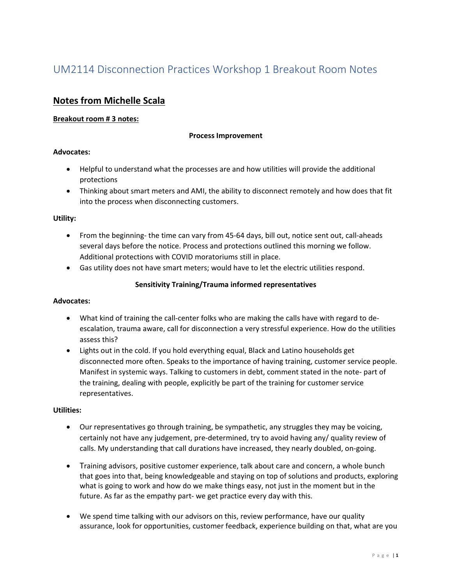## **Notes from Michelle Scala**

#### **Breakout room # 3 notes:**

#### **Process Improvement**

#### **Advocates:**

- Helpful to understand what the processes are and how utilities will provide the additional protections
- Thinking about smart meters and AMI, the ability to disconnect remotely and how does that fit into the process when disconnecting customers.

#### **Utility:**

- From the beginning- the time can vary from 45-64 days, bill out, notice sent out, call-aheads several days before the notice. Process and protections outlined this morning we follow. Additional protections with COVID moratoriums still in place.
- Gas utility does not have smart meters; would have to let the electric utilities respond.

#### **Sensitivity Training/Trauma informed representatives**

#### **Advocates:**

- What kind of training the call-center folks who are making the calls have with regard to deescalation, trauma aware, call for disconnection a very stressful experience. How do the utilities assess this?
- Lights out in the cold. If you hold everything equal, Black and Latino households get disconnected more often. Speaks to the importance of having training, customer service people. Manifest in systemic ways. Talking to customers in debt, comment stated in the note- part of the training, dealing with people, explicitly be part of the training for customer service representatives.

#### **Utilities:**

- Our representatives go through training, be sympathetic, any struggles they may be voicing, certainly not have any judgement, pre-determined, try to avoid having any/ quality review of calls. My understanding that call durations have increased, they nearly doubled, on-going.
- Training advisors, positive customer experience, talk about care and concern, a whole bunch that goes into that, being knowledgeable and staying on top of solutions and products, exploring what is going to work and how do we make things easy, not just in the moment but in the future. As far as the empathy part- we get practice every day with this.
- We spend time talking with our advisors on this, review performance, have our quality assurance, look for opportunities, customer feedback, experience building on that, what are you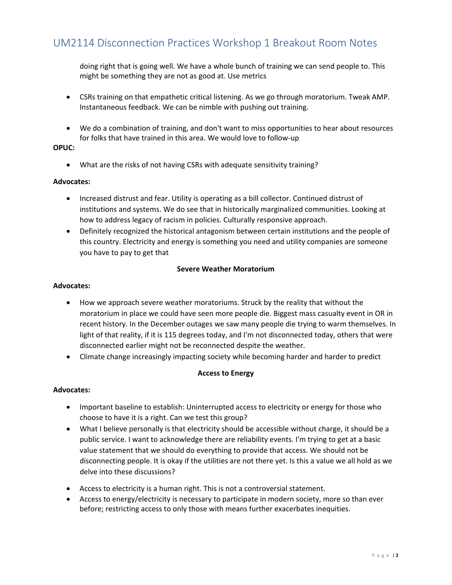doing right that is going well. We have a whole bunch of training we can send people to. This might be something they are not as good at. Use metrics

- CSRs training on that empathetic critical listening. As we go through moratorium. Tweak AMP. Instantaneous feedback. We can be nimble with pushing out training.
- We do a combination of training, and don't want to miss opportunities to hear about resources for folks that have trained in this area. We would love to follow-up

#### **OPUC:**

• What are the risks of not having CSRs with adequate sensitivity training?

#### **Advocates:**

- Increased distrust and fear. Utility is operating as a bill collector. Continued distrust of institutions and systems. We do see that in historically marginalized communities. Looking at how to address legacy of racism in policies. Culturally responsive approach.
- Definitely recognized the historical antagonism between certain institutions and the people of this country. Electricity and energy is something you need and utility companies are someone you have to pay to get that

#### **Severe Weather Moratorium**

#### **Advocates:**

- How we approach severe weather moratoriums. Struck by the reality that without the moratorium in place we could have seen more people die. Biggest mass casualty event in OR in recent history. In the December outages we saw many people die trying to warm themselves. In light of that reality, if it is 115 degrees today, and I'm not disconnected today, others that were disconnected earlier might not be reconnected despite the weather.
- Climate change increasingly impacting society while becoming harder and harder to predict

#### **Access to Energy**

#### **Advocates:**

- Important baseline to establish: Uninterrupted access to electricity or energy for those who choose to have it is a right. Can we test this group?
- What I believe personally is that electricity should be accessible without charge, it should be a public service. I want to acknowledge there are reliability events. I'm trying to get at a basic value statement that we should do everything to provide that access. We should not be disconnecting people. It is okay if the utilities are not there yet. Is this a value we all hold as we delve into these discussions?
- Access to electricity is a human right. This is not a controversial statement.
- Access to energy/electricity is necessary to participate in modern society, more so than ever before; restricting access to only those with means further exacerbates inequities.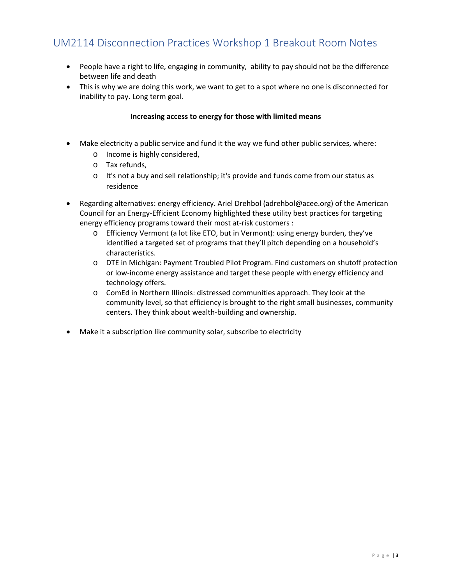- People have a right to life, engaging in community, ability to pay should not be the difference between life and death
- This is why we are doing this work, we want to get to a spot where no one is disconnected for inability to pay. Long term goal.

#### **Increasing access to energy for those with limited means**

- Make electricity a public service and fund it the way we fund other public services, where:
	- o Income is highly considered,
	- o Tax refunds,
	- o It's not a buy and sell relationship; it's provide and funds come from our status as residence
- Regarding alternatives: energy efficiency. Ariel Drehbol (adrehbol@acee.org) of the American Council for an Energy-Efficient Economy highlighted these utility best practices for targeting energy efficiency programs toward their most at-risk customers :
	- o Efficiency Vermont (a lot like ETO, but in Vermont): using energy burden, they've identified a targeted set of programs that they'll pitch depending on a household's characteristics.
	- o DTE in Michigan: Payment Troubled Pilot Program. Find customers on shutoff protection or low-income energy assistance and target these people with energy efficiency and technology offers.
	- o ComEd in Northern Illinois: distressed communities approach. They look at the community level, so that efficiency is brought to the right small businesses, community centers. They think about wealth-building and ownership.
- Make it a subscription like community solar, subscribe to electricity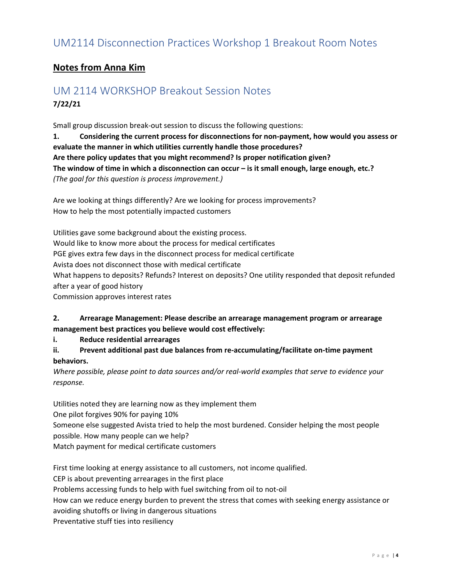## **Notes from Anna Kim**

## UM 2114 WORKSHOP Breakout Session Notes **7/22/21**

Small group discussion break-out session to discuss the following questions:

**1. Considering the current process for disconnections for non-payment, how would you assess or evaluate the manner in which utilities currently handle those procedures? Are there policy updates that you might recommend? Is proper notification given? The window of time in which a disconnection can occur – is it small enough, large enough, etc.?** *(The goal for this question is process improvement.)*

Are we looking at things differently? Are we looking for process improvements? How to help the most potentially impacted customers

Utilities gave some background about the existing process. Would like to know more about the process for medical certificates PGE gives extra few days in the disconnect process for medical certificate Avista does not disconnect those with medical certificate What happens to deposits? Refunds? Interest on deposits? One utility responded that deposit refunded after a year of good history Commission approves interest rates

### **2. Arrearage Management: Please describe an arrearage management program or arrearage management best practices you believe would cost effectively:**

**i. Reduce residential arrearages**

### **ii. Prevent additional past due balances from re-accumulating/facilitate on-time payment behaviors.**

*Where possible, please point to data sources and/or real-world examples that serve to evidence your response.*

Utilities noted they are learning now as they implement them

One pilot forgives 90% for paying 10%

Someone else suggested Avista tried to help the most burdened. Consider helping the most people possible. How many people can we help?

Match payment for medical certificate customers

First time looking at energy assistance to all customers, not income qualified. CEP is about preventing arrearages in the first place Problems accessing funds to help with fuel switching from oil to not-oil How can we reduce energy burden to prevent the stress that comes with seeking energy assistance or avoiding shutoffs or living in dangerous situations Preventative stuff ties into resiliency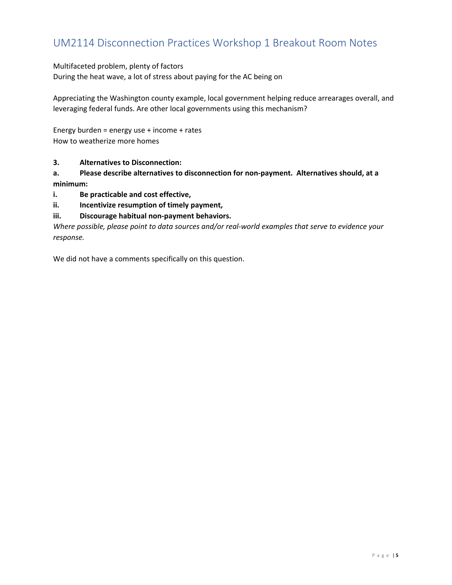#### Multifaceted problem, plenty of factors

During the heat wave, a lot of stress about paying for the AC being on

Appreciating the Washington county example, local government helping reduce arrearages overall, and leveraging federal funds. Are other local governments using this mechanism?

Energy burden = energy use + income + rates How to weatherize more homes

#### **3. Alternatives to Disconnection:**

**a. Please describe alternatives to disconnection for non-payment. Alternatives should, at a minimum:**

- **i. Be practicable and cost effective,**
- **ii. Incentivize resumption of timely payment,**
- **iii. Discourage habitual non-payment behaviors.**

*Where possible, please point to data sources and/or real-world examples that serve to evidence your response.*

We did not have a comments specifically on this question.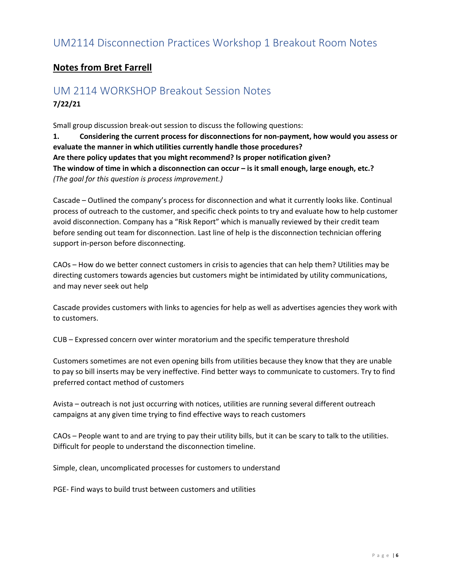### **Notes from Bret Farrell**

## UM 2114 WORKSHOP Breakout Session Notes **7/22/21**

Small group discussion break-out session to discuss the following questions:

**1. Considering the current process for disconnections for non-payment, how would you assess or evaluate the manner in which utilities currently handle those procedures? Are there policy updates that you might recommend? Is proper notification given? The window of time in which a disconnection can occur – is it small enough, large enough, etc.?** *(The goal for this question is process improvement.)*

Cascade – Outlined the company's process for disconnection and what it currently looks like. Continual process of outreach to the customer, and specific check points to try and evaluate how to help customer avoid disconnection. Company has a "Risk Report" which is manually reviewed by their credit team before sending out team for disconnection. Last line of help is the disconnection technician offering support in-person before disconnecting.

CAOs – How do we better connect customers in crisis to agencies that can help them? Utilities may be directing customers towards agencies but customers might be intimidated by utility communications, and may never seek out help

Cascade provides customers with links to agencies for help as well as advertises agencies they work with to customers.

CUB – Expressed concern over winter moratorium and the specific temperature threshold

Customers sometimes are not even opening bills from utilities because they know that they are unable to pay so bill inserts may be very ineffective. Find better ways to communicate to customers. Try to find preferred contact method of customers

Avista – outreach is not just occurring with notices, utilities are running several different outreach campaigns at any given time trying to find effective ways to reach customers

CAOs – People want to and are trying to pay their utility bills, but it can be scary to talk to the utilities. Difficult for people to understand the disconnection timeline.

Simple, clean, uncomplicated processes for customers to understand

PGE- Find ways to build trust between customers and utilities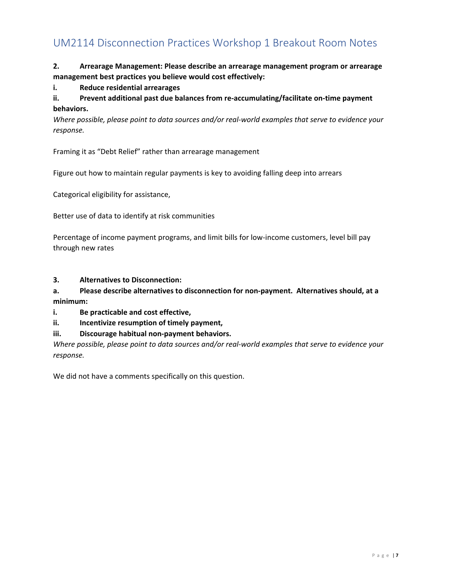### **2. Arrearage Management: Please describe an arrearage management program or arrearage management best practices you believe would cost effectively:**

#### **i. Reduce residential arrearages**

**ii. Prevent additional past due balances from re-accumulating/facilitate on-time payment behaviors.**

*Where possible, please point to data sources and/or real-world examples that serve to evidence your response.*

Framing it as "Debt Relief" rather than arrearage management

Figure out how to maintain regular payments is key to avoiding falling deep into arrears

Categorical eligibility for assistance,

Better use of data to identify at risk communities

Percentage of income payment programs, and limit bills for low-income customers, level bill pay through new rates

**3. Alternatives to Disconnection:**

**a. Please describe alternatives to disconnection for non-payment. Alternatives should, at a minimum:**

**i. Be practicable and cost effective,**

**ii. Incentivize resumption of timely payment,**

#### **iii. Discourage habitual non-payment behaviors.**

*Where possible, please point to data sources and/or real-world examples that serve to evidence your response.*

We did not have a comments specifically on this question.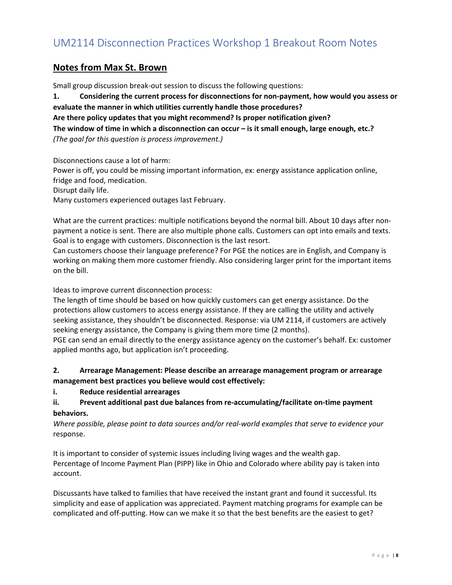### **Notes from Max St. Brown**

Small group discussion break-out session to discuss the following questions:

**1. Considering the current process for disconnections for non-payment, how would you assess or evaluate the manner in which utilities currently handle those procedures? Are there policy updates that you might recommend? Is proper notification given?** 

**The window of time in which a disconnection can occur – is it small enough, large enough, etc.?** *(The goal for this question is process improvement.)*

Disconnections cause a lot of harm: Power is off, you could be missing important information, ex: energy assistance application online, fridge and food, medication. Disrupt daily life. Many customers experienced outages last February.

What are the current practices: multiple notifications beyond the normal bill. About 10 days after nonpayment a notice is sent. There are also multiple phone calls. Customers can opt into emails and texts. Goal is to engage with customers. Disconnection is the last resort.

Can customers choose their language preference? For PGE the notices are in English, and Company is working on making them more customer friendly. Also considering larger print for the important items on the bill.

Ideas to improve current disconnection process:

The length of time should be based on how quickly customers can get energy assistance. Do the protections allow customers to access energy assistance. If they are calling the utility and actively seeking assistance, they shouldn't be disconnected. Response: via UM 2114, if customers are actively seeking energy assistance, the Company is giving them more time (2 months).

PGE can send an email directly to the energy assistance agency on the customer's behalf. Ex: customer applied months ago, but application isn't proceeding.

### **2. Arrearage Management: Please describe an arrearage management program or arrearage management best practices you believe would cost effectively:**

**i. Reduce residential arrearages**

### **ii. Prevent additional past due balances from re-accumulating/facilitate on-time payment behaviors.**

*Where possible, please point to data sources and/or real-world examples that serve to evidence your*  response.

It is important to consider of systemic issues including living wages and the wealth gap. Percentage of Income Payment Plan (PIPP) like in Ohio and Colorado where ability pay is taken into account.

Discussants have talked to families that have received the instant grant and found it successful. Its simplicity and ease of application was appreciated. Payment matching programs for example can be complicated and off-putting. How can we make it so that the best benefits are the easiest to get?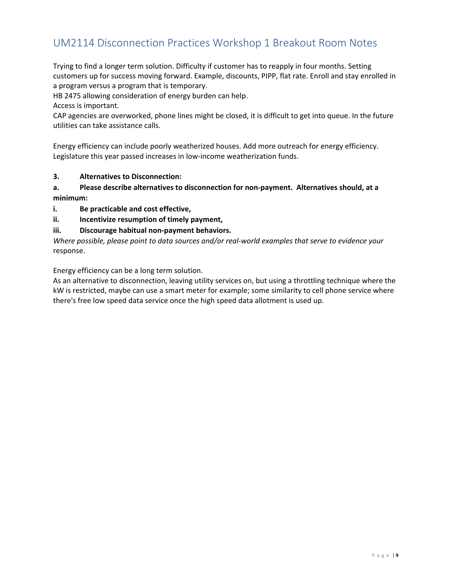Trying to find a longer term solution. Difficulty if customer has to reapply in four months. Setting customers up for success moving forward. Example, discounts, PIPP, flat rate. Enroll and stay enrolled in a program versus a program that is temporary.

HB 2475 allowing consideration of energy burden can help.

Access is important.

CAP agencies are overworked, phone lines might be closed, it is difficult to get into queue. In the future utilities can take assistance calls.

Energy efficiency can include poorly weatherized houses. Add more outreach for energy efficiency. Legislature this year passed increases in low-income weatherization funds.

#### **3. Alternatives to Disconnection:**

**a. Please describe alternatives to disconnection for non-payment. Alternatives should, at a minimum:**

**i. Be practicable and cost effective,**

**ii. Incentivize resumption of timely payment,**

#### **iii. Discourage habitual non-payment behaviors.**

*Where possible, please point to data sources and/or real-world examples that serve to evidence your*  response.

Energy efficiency can be a long term solution.

As an alternative to disconnection, leaving utility services on, but using a throttling technique where the kW is restricted, maybe can use a smart meter for example; some similarity to cell phone service where there's free low speed data service once the high speed data allotment is used up.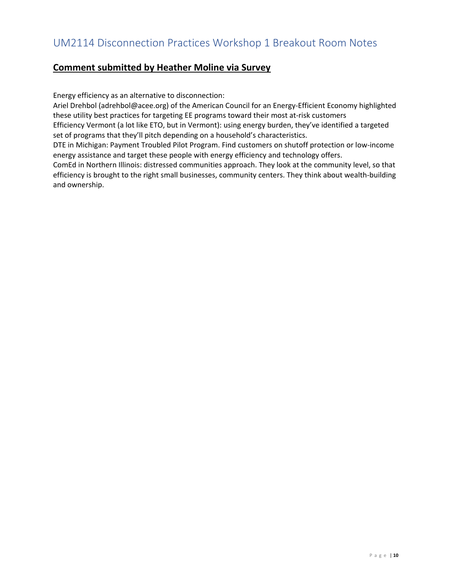## **Comment submitted by Heather Moline via Survey**

Energy efficiency as an alternative to disconnection:

Ariel Drehbol (adrehbol@acee.org) of the American Council for an Energy-Efficient Economy highlighted these utility best practices for targeting EE programs toward their most at-risk customers

Efficiency Vermont (a lot like ETO, but in Vermont): using energy burden, they've identified a targeted set of programs that they'll pitch depending on a household's characteristics.

DTE in Michigan: Payment Troubled Pilot Program. Find customers on shutoff protection or low-income energy assistance and target these people with energy efficiency and technology offers.

ComEd in Northern Illinois: distressed communities approach. They look at the community level, so that efficiency is brought to the right small businesses, community centers. They think about wealth-building and ownership.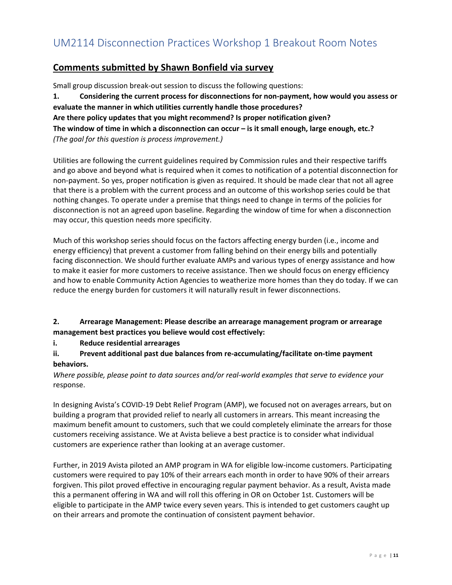## **Comments submitted by Shawn Bonfield via survey**

Small group discussion break-out session to discuss the following questions: **1. Considering the current process for disconnections for non-payment, how would you assess or evaluate the manner in which utilities currently handle those procedures? Are there policy updates that you might recommend? Is proper notification given? The window of time in which a disconnection can occur – is it small enough, large enough, etc.?** *(The goal for this question is process improvement.)*

Utilities are following the current guidelines required by Commission rules and their respective tariffs and go above and beyond what is required when it comes to notification of a potential disconnection for non-payment. So yes, proper notification is given as required. It should be made clear that not all agree that there is a problem with the current process and an outcome of this workshop series could be that nothing changes. To operate under a premise that things need to change in terms of the policies for disconnection is not an agreed upon baseline. Regarding the window of time for when a disconnection may occur, this question needs more specificity.

Much of this workshop series should focus on the factors affecting energy burden (i.e., income and energy efficiency) that prevent a customer from falling behind on their energy bills and potentially facing disconnection. We should further evaluate AMPs and various types of energy assistance and how to make it easier for more customers to receive assistance. Then we should focus on energy efficiency and how to enable Community Action Agencies to weatherize more homes than they do today. If we can reduce the energy burden for customers it will naturally result in fewer disconnections.

### **2. Arrearage Management: Please describe an arrearage management program or arrearage management best practices you believe would cost effectively:**

**i. Reduce residential arrearages**

### **ii. Prevent additional past due balances from re-accumulating/facilitate on-time payment behaviors.**

*Where possible, please point to data sources and/or real-world examples that serve to evidence your*  response.

In designing Avista's COVID-19 Debt Relief Program (AMP), we focused not on averages arrears, but on building a program that provided relief to nearly all customers in arrears. This meant increasing the maximum benefit amount to customers, such that we could completely eliminate the arrears for those customers receiving assistance. We at Avista believe a best practice is to consider what individual customers are experience rather than looking at an average customer.

Further, in 2019 Avista piloted an AMP program in WA for eligible low-income customers. Participating customers were required to pay 10% of their arrears each month in order to have 90% of their arrears forgiven. This pilot proved effective in encouraging regular payment behavior. As a result, Avista made this a permanent offering in WA and will roll this offering in OR on October 1st. Customers will be eligible to participate in the AMP twice every seven years. This is intended to get customers caught up on their arrears and promote the continuation of consistent payment behavior.